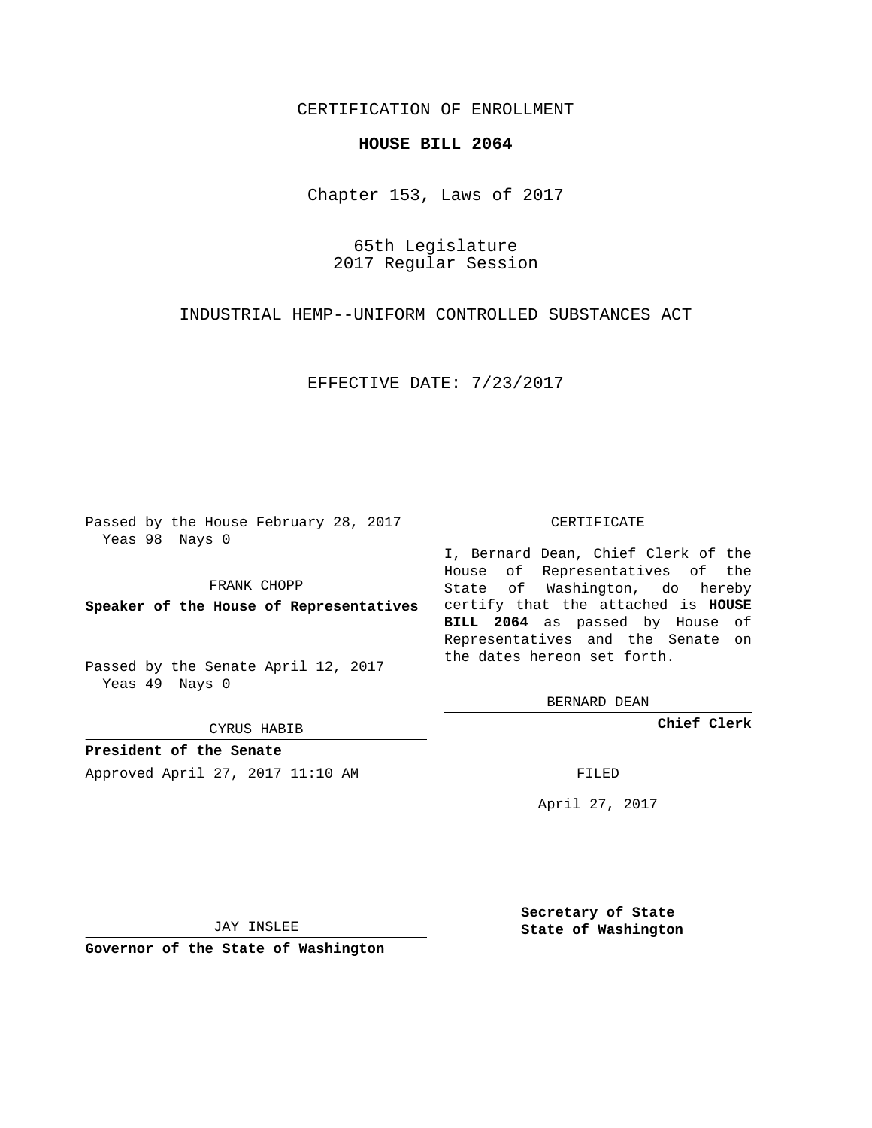## CERTIFICATION OF ENROLLMENT

## **HOUSE BILL 2064**

Chapter 153, Laws of 2017

65th Legislature 2017 Regular Session

INDUSTRIAL HEMP--UNIFORM CONTROLLED SUBSTANCES ACT

EFFECTIVE DATE: 7/23/2017

Passed by the House February 28, 2017 Yeas 98 Nays 0

FRANK CHOPP

Passed by the Senate April 12, 2017 Yeas 49 Nays 0

CYRUS HABIB

**President of the Senate**

Approved April 27, 2017 11:10 AM FILED

## CERTIFICATE

**Speaker of the House of Representatives** certify that the attached is **HOUSE** I, Bernard Dean, Chief Clerk of the House of Representatives of the State of Washington, do hereby **BILL 2064** as passed by House of Representatives and the Senate on the dates hereon set forth.

BERNARD DEAN

**Chief Clerk**

April 27, 2017

JAY INSLEE

**Governor of the State of Washington**

**Secretary of State State of Washington**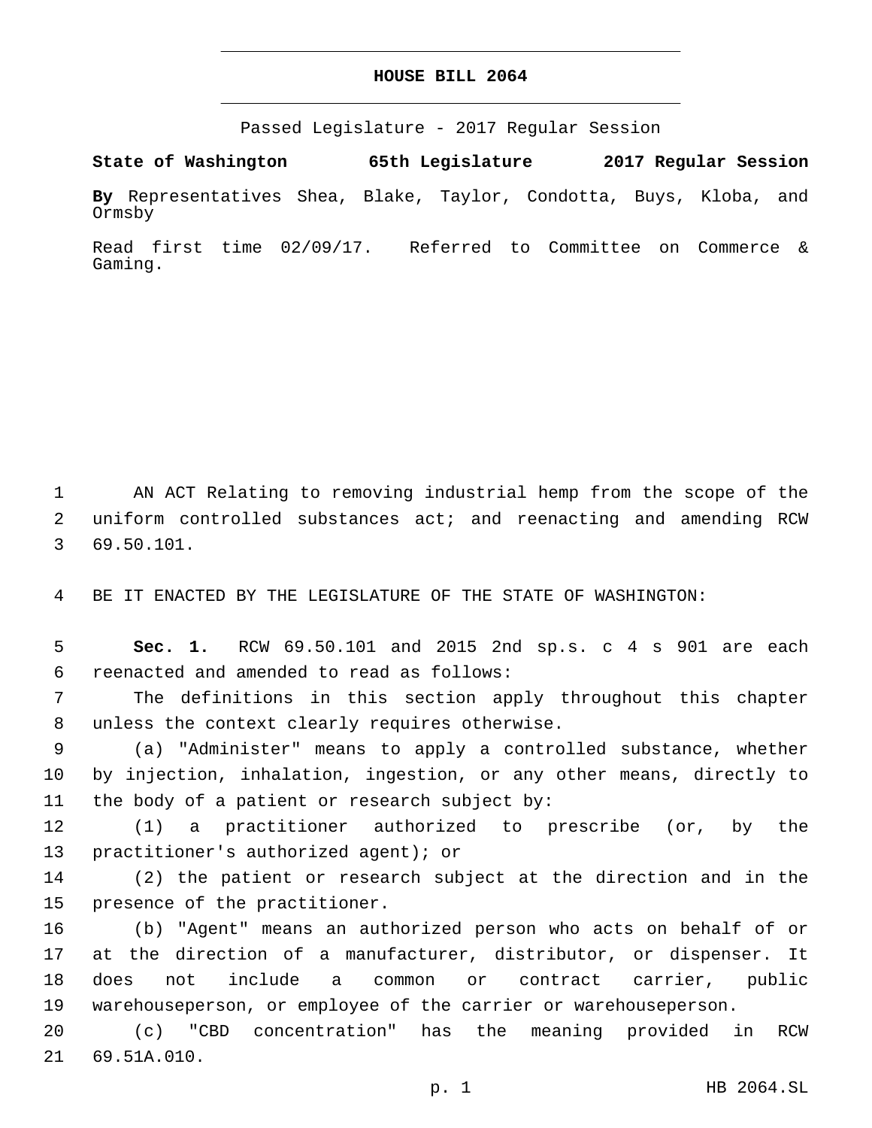## **HOUSE BILL 2064**

Passed Legislature - 2017 Regular Session

**State of Washington 65th Legislature 2017 Regular Session**

**By** Representatives Shea, Blake, Taylor, Condotta, Buys, Kloba, and Ormsby

Read first time 02/09/17. Referred to Committee on Commerce & Gaming.

1 AN ACT Relating to removing industrial hemp from the scope of the 2 uniform controlled substances act; and reenacting and amending RCW 69.50.101.3

4 BE IT ENACTED BY THE LEGISLATURE OF THE STATE OF WASHINGTON:

5 **Sec. 1.** RCW 69.50.101 and 2015 2nd sp.s. c 4 s 901 are each reenacted and amended to read as follows:6

7 The definitions in this section apply throughout this chapter 8 unless the context clearly requires otherwise.

9 (a) "Administer" means to apply a controlled substance, whether 10 by injection, inhalation, ingestion, or any other means, directly to 11 the body of a patient or research subject by:

12 (1) a practitioner authorized to prescribe (or, by the 13 practitioner's authorized agent); or

14 (2) the patient or research subject at the direction and in the 15 presence of the practitioner.

 (b) "Agent" means an authorized person who acts on behalf of or at the direction of a manufacturer, distributor, or dispenser. It does not include a common or contract carrier, public warehouseperson, or employee of the carrier or warehouseperson.

20 (c) "CBD concentration" has the meaning provided in RCW 21 69.51A.010.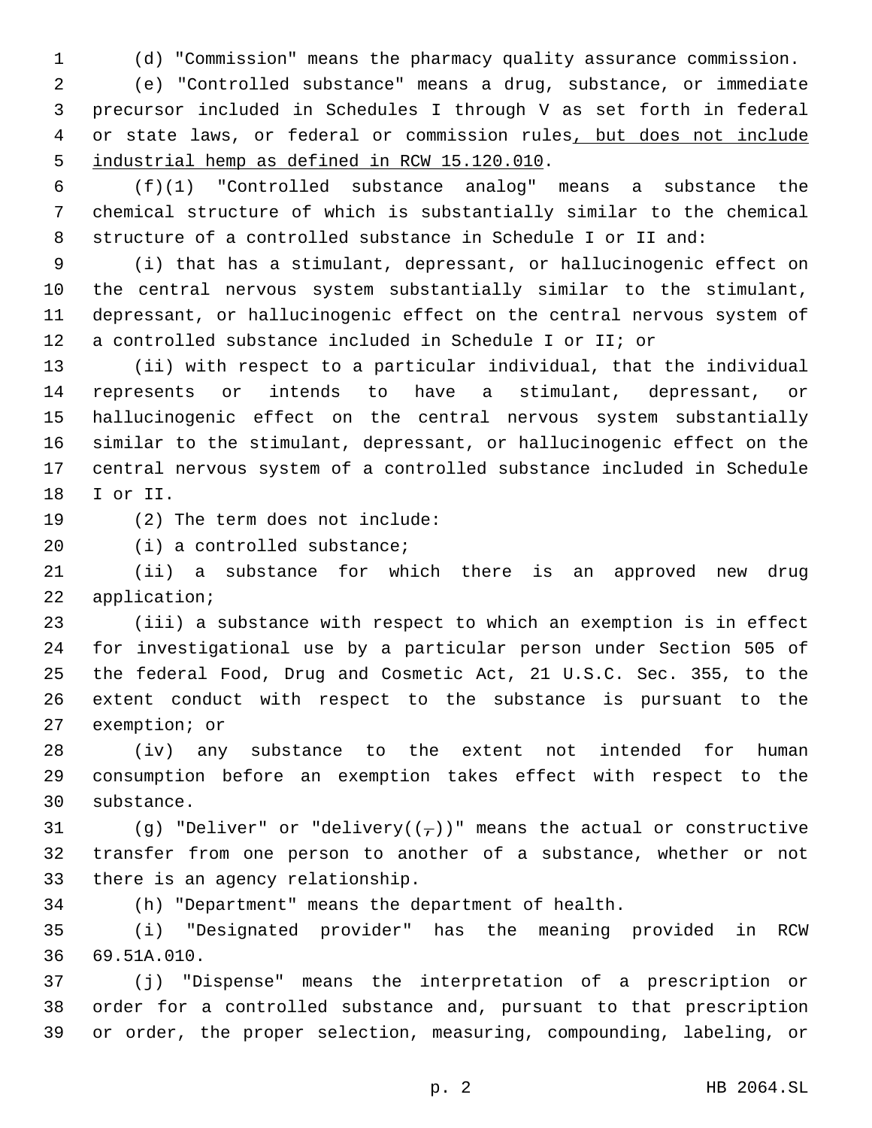(d) "Commission" means the pharmacy quality assurance commission.

 (e) "Controlled substance" means a drug, substance, or immediate precursor included in Schedules I through V as set forth in federal or state laws, or federal or commission rules, but does not include 5 industrial hemp as defined in RCW 15.120.010.

 (f)(1) "Controlled substance analog" means a substance the chemical structure of which is substantially similar to the chemical structure of a controlled substance in Schedule I or II and:

 (i) that has a stimulant, depressant, or hallucinogenic effect on the central nervous system substantially similar to the stimulant, depressant, or hallucinogenic effect on the central nervous system of a controlled substance included in Schedule I or II; or

 (ii) with respect to a particular individual, that the individual represents or intends to have a stimulant, depressant, or hallucinogenic effect on the central nervous system substantially similar to the stimulant, depressant, or hallucinogenic effect on the central nervous system of a controlled substance included in Schedule 18 I or II.

19 (2) The term does not include:

20 (i) a controlled substance;

 (ii) a substance for which there is an approved new drug 22 application;

 (iii) a substance with respect to which an exemption is in effect for investigational use by a particular person under Section 505 of the federal Food, Drug and Cosmetic Act, 21 U.S.C. Sec. 355, to the extent conduct with respect to the substance is pursuant to the 27 exemption; or

 (iv) any substance to the extent not intended for human consumption before an exemption takes effect with respect to the 30 substance.

31 (g) "Deliver" or "delivery( $(\tau)$ )" means the actual or constructive transfer from one person to another of a substance, whether or not 33 there is an agency relationship.

(h) "Department" means the department of health.

 (i) "Designated provider" has the meaning provided in RCW 69.51A.010.36

 (j) "Dispense" means the interpretation of a prescription or order for a controlled substance and, pursuant to that prescription or order, the proper selection, measuring, compounding, labeling, or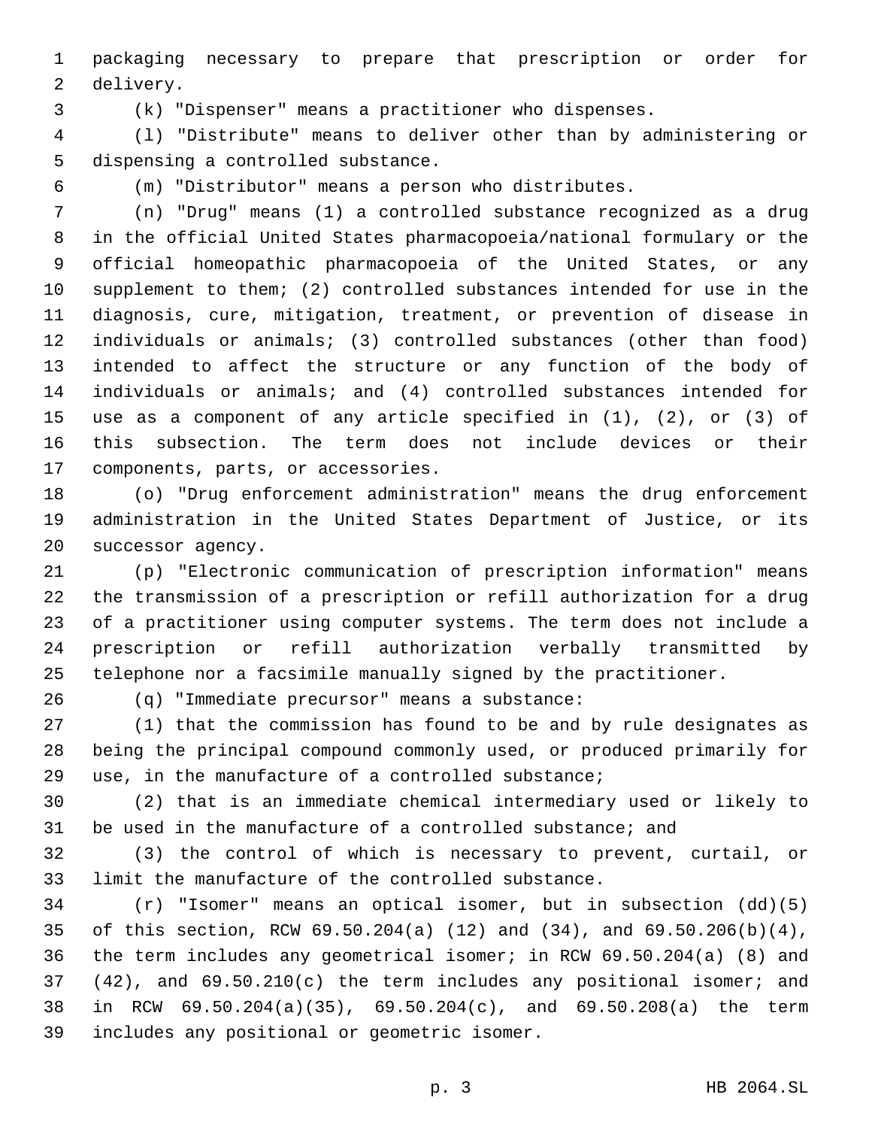packaging necessary to prepare that prescription or order for 2 delivery.

(k) "Dispenser" means a practitioner who dispenses.

 (l) "Distribute" means to deliver other than by administering or 5 dispensing a controlled substance.

(m) "Distributor" means a person who distributes.

 (n) "Drug" means (1) a controlled substance recognized as a drug in the official United States pharmacopoeia/national formulary or the official homeopathic pharmacopoeia of the United States, or any supplement to them; (2) controlled substances intended for use in the diagnosis, cure, mitigation, treatment, or prevention of disease in individuals or animals; (3) controlled substances (other than food) intended to affect the structure or any function of the body of individuals or animals; and (4) controlled substances intended for use as a component of any article specified in (1), (2), or (3) of this subsection. The term does not include devices or their 17 components, parts, or accessories.

 (o) "Drug enforcement administration" means the drug enforcement administration in the United States Department of Justice, or its 20 successor agency.

 (p) "Electronic communication of prescription information" means the transmission of a prescription or refill authorization for a drug of a practitioner using computer systems. The term does not include a prescription or refill authorization verbally transmitted by telephone nor a facsimile manually signed by the practitioner.

(q) "Immediate precursor" means a substance:26

 (1) that the commission has found to be and by rule designates as being the principal compound commonly used, or produced primarily for use, in the manufacture of a controlled substance;

 (2) that is an immediate chemical intermediary used or likely to be used in the manufacture of a controlled substance; and

 (3) the control of which is necessary to prevent, curtail, or limit the manufacture of the controlled substance.

 (r) "Isomer" means an optical isomer, but in subsection (dd)(5) of this section, RCW 69.50.204(a) (12) and (34), and 69.50.206(b)(4), the term includes any geometrical isomer; in RCW 69.50.204(a) (8) and (42), and 69.50.210(c) the term includes any positional isomer; and in RCW 69.50.204(a)(35), 69.50.204(c), and 69.50.208(a) the term includes any positional or geometric isomer.39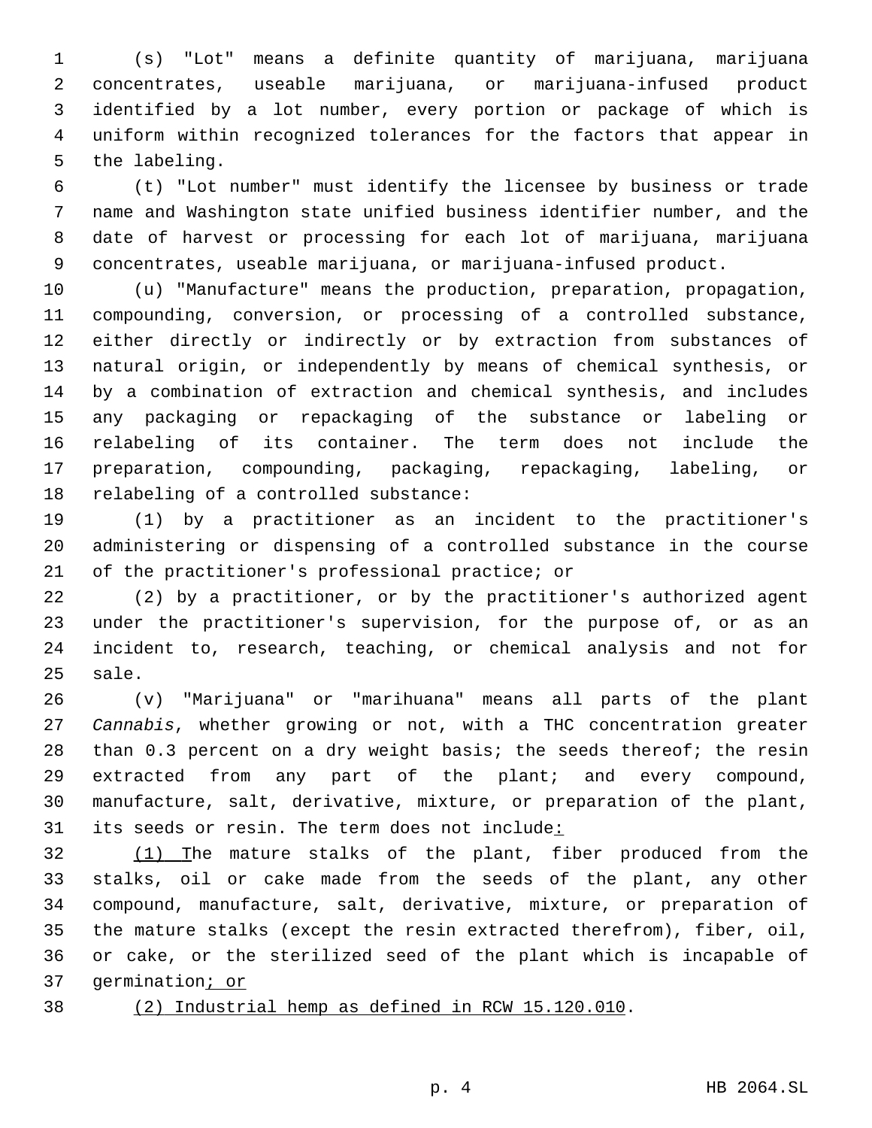(s) "Lot" means a definite quantity of marijuana, marijuana concentrates, useable marijuana, or marijuana-infused product identified by a lot number, every portion or package of which is uniform within recognized tolerances for the factors that appear in 5 the labeling.

 (t) "Lot number" must identify the licensee by business or trade name and Washington state unified business identifier number, and the date of harvest or processing for each lot of marijuana, marijuana concentrates, useable marijuana, or marijuana-infused product.

 (u) "Manufacture" means the production, preparation, propagation, compounding, conversion, or processing of a controlled substance, either directly or indirectly or by extraction from substances of natural origin, or independently by means of chemical synthesis, or by a combination of extraction and chemical synthesis, and includes any packaging or repackaging of the substance or labeling or relabeling of its container. The term does not include the preparation, compounding, packaging, repackaging, labeling, or 18 relabeling of a controlled substance:

 (1) by a practitioner as an incident to the practitioner's administering or dispensing of a controlled substance in the course 21 of the practitioner's professional practice; or

 (2) by a practitioner, or by the practitioner's authorized agent under the practitioner's supervision, for the purpose of, or as an incident to, research, teaching, or chemical analysis and not for 25 sale.

 (v) "Marijuana" or "marihuana" means all parts of the plant *Cannabis*, whether growing or not, with a THC concentration greater than 0.3 percent on a dry weight basis; the seeds thereof; the resin extracted from any part of the plant; and every compound, manufacture, salt, derivative, mixture, or preparation of the plant, 31 its seeds or resin. The term does not include:

32 (1) The mature stalks of the plant, fiber produced from the stalks, oil or cake made from the seeds of the plant, any other compound, manufacture, salt, derivative, mixture, or preparation of the mature stalks (except the resin extracted therefrom), fiber, oil, or cake, or the sterilized seed of the plant which is incapable of germination; or

- 
- (2) Industrial hemp as defined in RCW 15.120.010.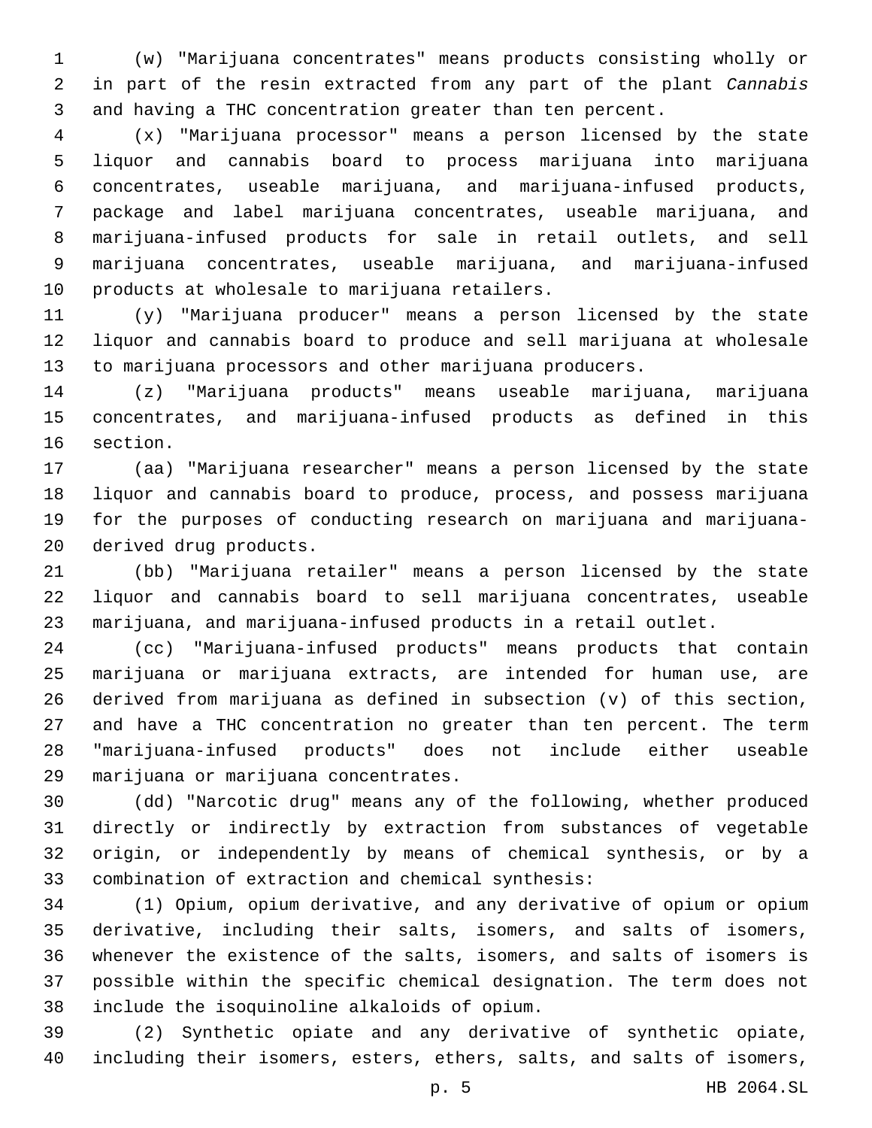(w) "Marijuana concentrates" means products consisting wholly or in part of the resin extracted from any part of the plant *Cannabis* and having a THC concentration greater than ten percent.

 (x) "Marijuana processor" means a person licensed by the state liquor and cannabis board to process marijuana into marijuana concentrates, useable marijuana, and marijuana-infused products, package and label marijuana concentrates, useable marijuana, and marijuana-infused products for sale in retail outlets, and sell marijuana concentrates, useable marijuana, and marijuana-infused 10 products at wholesale to marijuana retailers.

 (y) "Marijuana producer" means a person licensed by the state liquor and cannabis board to produce and sell marijuana at wholesale to marijuana processors and other marijuana producers.

 (z) "Marijuana products" means useable marijuana, marijuana concentrates, and marijuana-infused products as defined in this 16 section.

 (aa) "Marijuana researcher" means a person licensed by the state liquor and cannabis board to produce, process, and possess marijuana for the purposes of conducting research on marijuana and marijuana-20 derived drug products.

 (bb) "Marijuana retailer" means a person licensed by the state liquor and cannabis board to sell marijuana concentrates, useable marijuana, and marijuana-infused products in a retail outlet.

 (cc) "Marijuana-infused products" means products that contain marijuana or marijuana extracts, are intended for human use, are derived from marijuana as defined in subsection (v) of this section, and have a THC concentration no greater than ten percent. The term "marijuana-infused products" does not include either useable 29 marijuana or marijuana concentrates.

 (dd) "Narcotic drug" means any of the following, whether produced directly or indirectly by extraction from substances of vegetable origin, or independently by means of chemical synthesis, or by a 33 combination of extraction and chemical synthesis:

 (1) Opium, opium derivative, and any derivative of opium or opium derivative, including their salts, isomers, and salts of isomers, whenever the existence of the salts, isomers, and salts of isomers is possible within the specific chemical designation. The term does not include the isoquinoline alkaloids of opium.38

 (2) Synthetic opiate and any derivative of synthetic opiate, including their isomers, esters, ethers, salts, and salts of isomers,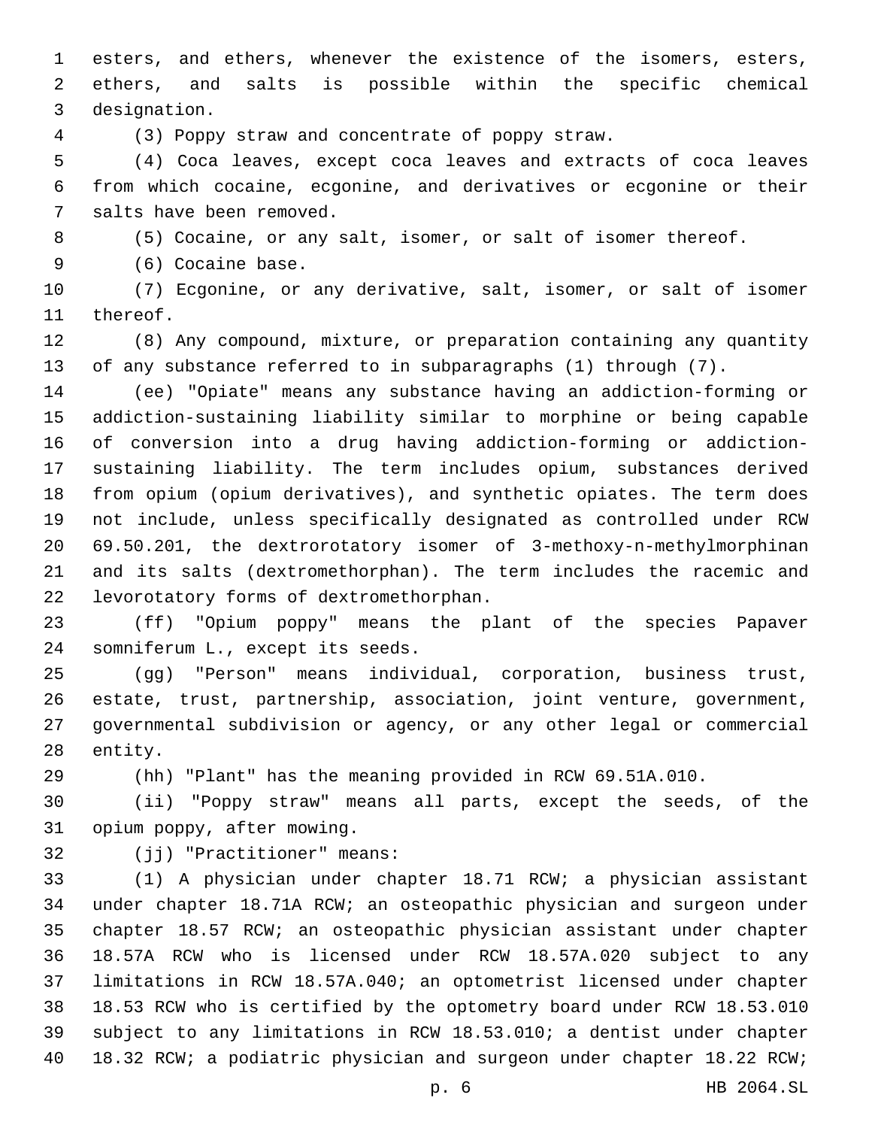esters, and ethers, whenever the existence of the isomers, esters, ethers, and salts is possible within the specific chemical 3 designation.

(3) Poppy straw and concentrate of poppy straw.

 (4) Coca leaves, except coca leaves and extracts of coca leaves from which cocaine, ecgonine, and derivatives or ecgonine or their 7 salts have been removed.

(5) Cocaine, or any salt, isomer, or salt of isomer thereof.

9 (6) Cocaine base.

 (7) Ecgonine, or any derivative, salt, isomer, or salt of isomer 11 thereof.

 (8) Any compound, mixture, or preparation containing any quantity of any substance referred to in subparagraphs (1) through (7).

 (ee) "Opiate" means any substance having an addiction-forming or addiction-sustaining liability similar to morphine or being capable of conversion into a drug having addiction-forming or addiction- sustaining liability. The term includes opium, substances derived from opium (opium derivatives), and synthetic opiates. The term does not include, unless specifically designated as controlled under RCW 69.50.201, the dextrorotatory isomer of 3-methoxy-n-methylmorphinan and its salts (dextromethorphan). The term includes the racemic and levorotatory forms of dextromethorphan.22

 (ff) "Opium poppy" means the plant of the species Papaver 24 somniferum L., except its seeds.

 (gg) "Person" means individual, corporation, business trust, estate, trust, partnership, association, joint venture, government, governmental subdivision or agency, or any other legal or commercial 28 entity.

(hh) "Plant" has the meaning provided in RCW 69.51A.010.

 (ii) "Poppy straw" means all parts, except the seeds, of the 31 opium poppy, after mowing.

32 (jj) "Practitioner" means:

 (1) A physician under chapter 18.71 RCW; a physician assistant under chapter 18.71A RCW; an osteopathic physician and surgeon under chapter 18.57 RCW; an osteopathic physician assistant under chapter 18.57A RCW who is licensed under RCW 18.57A.020 subject to any limitations in RCW 18.57A.040; an optometrist licensed under chapter 18.53 RCW who is certified by the optometry board under RCW 18.53.010 subject to any limitations in RCW 18.53.010; a dentist under chapter 18.32 RCW; a podiatric physician and surgeon under chapter 18.22 RCW;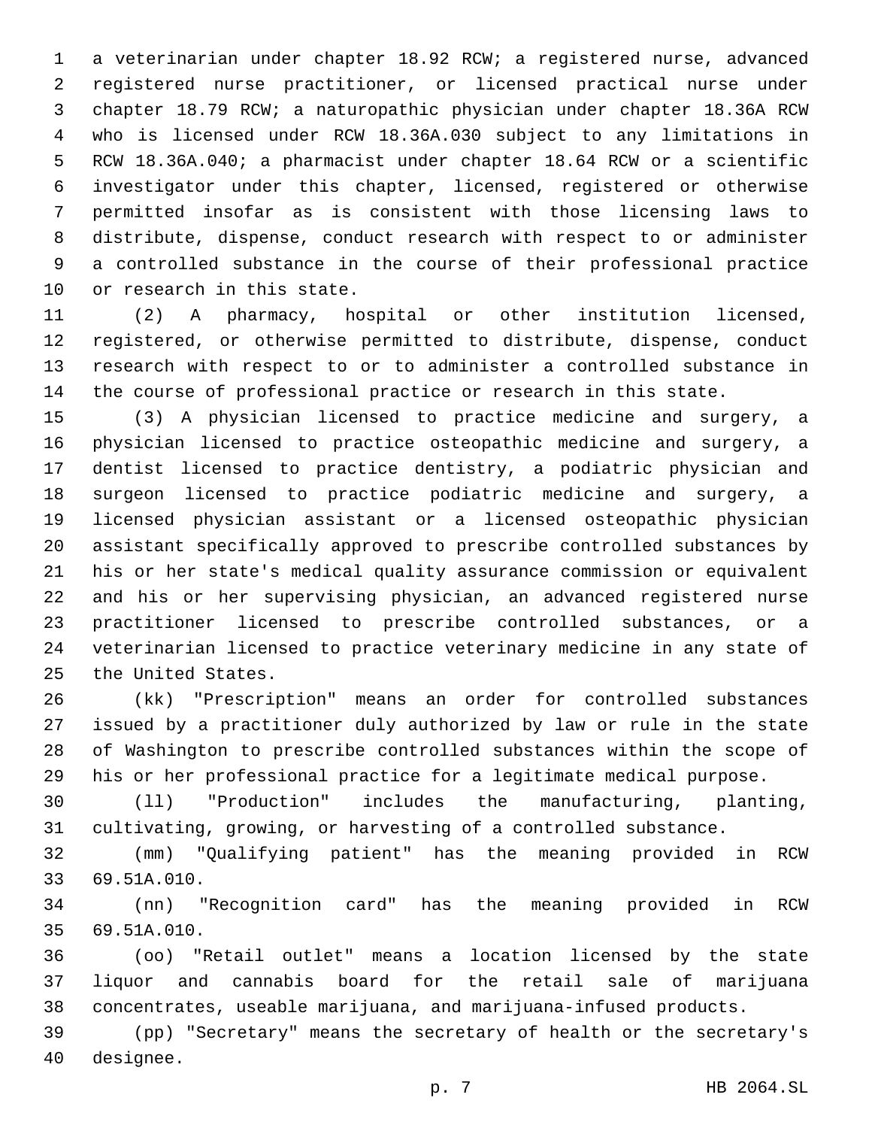a veterinarian under chapter 18.92 RCW; a registered nurse, advanced registered nurse practitioner, or licensed practical nurse under chapter 18.79 RCW; a naturopathic physician under chapter 18.36A RCW who is licensed under RCW 18.36A.030 subject to any limitations in RCW 18.36A.040; a pharmacist under chapter 18.64 RCW or a scientific investigator under this chapter, licensed, registered or otherwise permitted insofar as is consistent with those licensing laws to distribute, dispense, conduct research with respect to or administer a controlled substance in the course of their professional practice 10 or research in this state.

 (2) A pharmacy, hospital or other institution licensed, registered, or otherwise permitted to distribute, dispense, conduct research with respect to or to administer a controlled substance in the course of professional practice or research in this state.

 (3) A physician licensed to practice medicine and surgery, a physician licensed to practice osteopathic medicine and surgery, a dentist licensed to practice dentistry, a podiatric physician and surgeon licensed to practice podiatric medicine and surgery, a licensed physician assistant or a licensed osteopathic physician assistant specifically approved to prescribe controlled substances by his or her state's medical quality assurance commission or equivalent and his or her supervising physician, an advanced registered nurse practitioner licensed to prescribe controlled substances, or a veterinarian licensed to practice veterinary medicine in any state of 25 the United States.

 (kk) "Prescription" means an order for controlled substances issued by a practitioner duly authorized by law or rule in the state of Washington to prescribe controlled substances within the scope of his or her professional practice for a legitimate medical purpose.

 (ll) "Production" includes the manufacturing, planting, cultivating, growing, or harvesting of a controlled substance.

 (mm) "Qualifying patient" has the meaning provided in RCW 69.51A.010.33

 (nn) "Recognition card" has the meaning provided in RCW 69.51A.010.35

 (oo) "Retail outlet" means a location licensed by the state liquor and cannabis board for the retail sale of marijuana concentrates, useable marijuana, and marijuana-infused products.

 (pp) "Secretary" means the secretary of health or the secretary's 40 designee.